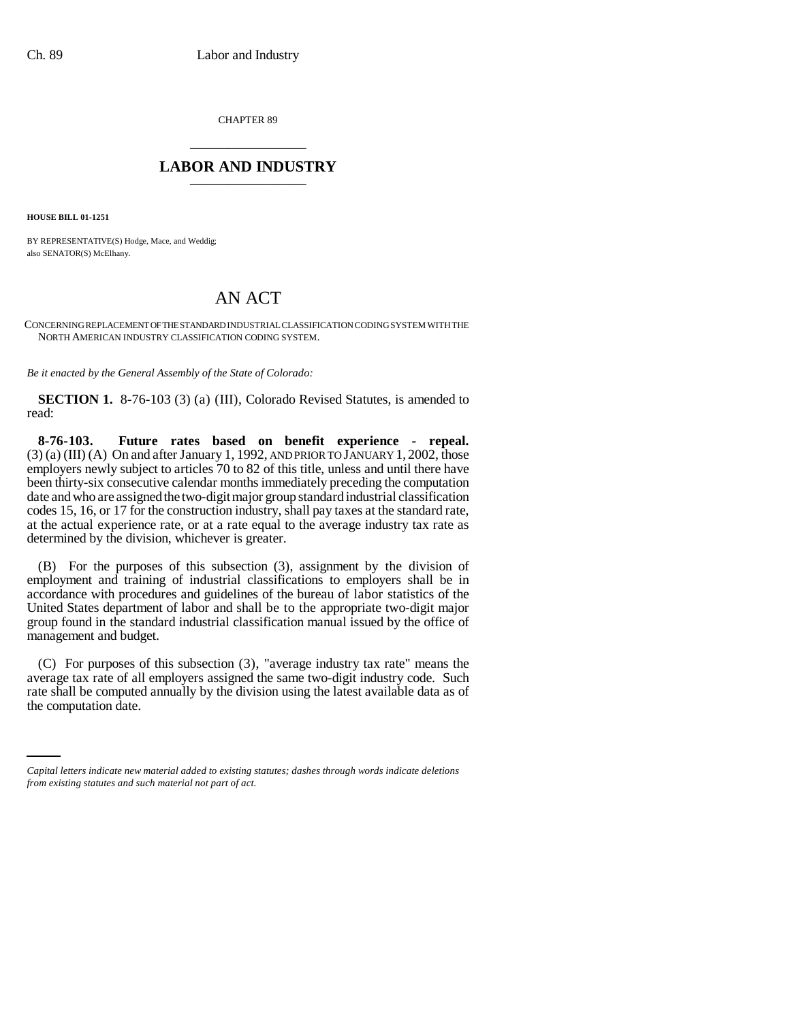CHAPTER 89 \_\_\_\_\_\_\_\_\_\_\_\_\_\_\_

## **LABOR AND INDUSTRY** \_\_\_\_\_\_\_\_\_\_\_\_\_\_\_

**HOUSE BILL 01-1251**

BY REPRESENTATIVE(S) Hodge, Mace, and Weddig; also SENATOR(S) McElhany.

## AN ACT

CONCERNING REPLACEMENT OF THE STANDARD INDUSTRIAL CLASSIFICATION CODING SYSTEM WITH THE NORTH AMERICAN INDUSTRY CLASSIFICATION CODING SYSTEM.

*Be it enacted by the General Assembly of the State of Colorado:*

**SECTION 1.** 8-76-103 (3) (a) (III), Colorado Revised Statutes, is amended to read:

**8-76-103. Future rates based on benefit experience - repeal.**  $(3)$  (a) (III) (A) On and after January 1, 1992, AND PRIOR TO JANUARY 1, 2002, those employers newly subject to articles 70 to 82 of this title, unless and until there have been thirty-six consecutive calendar months immediately preceding the computation date and who are assigned the two-digit major group standard industrial classification codes 15, 16, or 17 for the construction industry, shall pay taxes at the standard rate, at the actual experience rate, or at a rate equal to the average industry tax rate as determined by the division, whichever is greater.

(B) For the purposes of this subsection (3), assignment by the division of employment and training of industrial classifications to employers shall be in accordance with procedures and guidelines of the bureau of labor statistics of the United States department of labor and shall be to the appropriate two-digit major group found in the standard industrial classification manual issued by the office of management and budget.

rate shall be computed annually by the division using the latest available data as of (C) For purposes of this subsection (3), "average industry tax rate" means the average tax rate of all employers assigned the same two-digit industry code. Such the computation date.

*Capital letters indicate new material added to existing statutes; dashes through words indicate deletions from existing statutes and such material not part of act.*